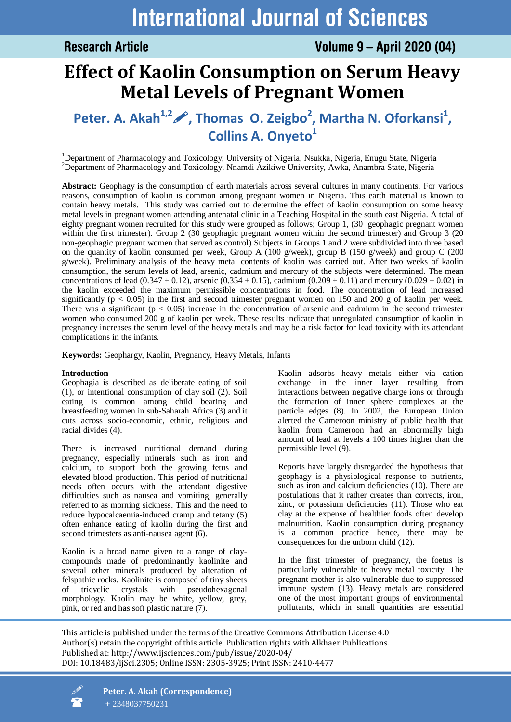# **Effect of Kaolin Consumption on Serum Heavy Metal Levels of Pregnant Women**

# **Peter. A. Akah1,2, Thomas O. Zeigbo<sup>2</sup> , Martha N. Oforkansi<sup>1</sup> , Collins A. Onyeto<sup>1</sup>**

<sup>1</sup>Department of Pharmacology and Toxicology, University of Nigeria, Nsukka, Nigeria, Enugu State, Nigeria <sup>2</sup>Department of Pharmacology and Toxicology, Nnamdi Azikiwe University, Awka, Anambra State, Nigeria

**Abstract:** Geophagy is the consumption of earth materials across several cultures in many continents. For various reasons, consumption of kaolin is common among pregnant women in Nigeria. This earth material is known to contain heavy metals. This study was carried out to determine the effect of kaolin consumption on some heavy metal levels in pregnant women attending antenatal clinic in a Teaching Hospital in the south east Nigeria. A total of eighty pregnant women recruited for this study were grouped as follows; Group 1, (30 geophagic pregnant women within the first trimester). Group 2 (30 geophagic pregnant women within the second trimester) and Group 3 (20 non-geophagic pregnant women that served as control) Subjects in Groups 1 and 2 were subdivided into three based on the quantity of kaolin consumed per week, Group A (100 g/week), group B (150 g/week) and group C (200 g/week). Preliminary analysis of the heavy metal contents of kaolin was carried out. After two weeks of kaolin consumption, the serum levels of lead, arsenic, cadmium and mercury of the subjects were determined. The mean concentrations of lead (0.347  $\pm$  0.12), arsenic (0.354  $\pm$  0.15), cadmium (0.209  $\pm$  0.11) and mercury (0.029  $\pm$  0.02) in the kaolin exceeded the maximum permissible concentrations in food. The concentration of lead increased significantly ( $p < 0.05$ ) in the first and second trimester pregnant women on 150 and 200 g of kaolin per week. There was a significant  $(p < 0.05)$  increase in the concentration of arsenic and cadmium in the second trimester women who consumed 200 g of kaolin per week. These results indicate that unregulated consumption of kaolin in pregnancy increases the serum level of the heavy metals and may be a risk factor for lead toxicity with its attendant complications in the infants.

**Keywords:** Geophargy, Kaolin, Pregnancy, Heavy Metals, Infants

# **Introduction**

Geophagia is described as deliberate eating of soil (1), or intentional consumption of clay soil (2). Soil eating is common among child bearing and breastfeeding women in sub-Saharah Africa (3) and it cuts across socio-economic, ethnic, religious and racial divides (4).

There is increased nutritional demand during pregnancy, especially minerals such as iron and calcium, to support both the growing fetus and elevated blood production. This period of nutritional needs often occurs with the attendant digestive difficulties such as nausea and vomiting, generally referred to as morning sickness. This and the need to reduce hypocalcaemia-induced cramp and tetany (5) often enhance eating of kaolin during the first and second trimesters as anti-nausea agent (6).

Kaolin is a broad name given to a range of claycompounds made of predominantly kaolinite and several other minerals produced by alteration of felspathic rocks. Kaolinite is composed of tiny sheets of tricyclic crystals with pseudohexagonal morphology. Kaolin may be white, yellow, grey, pink, or red and has soft plastic nature (7).

Kaolin adsorbs heavy metals either via cation exchange in the inner layer resulting from interactions between negative charge ions or through the formation of inner sphere complexes at the particle edges (8). In 2002, the European Union alerted the Cameroon ministry of public health that kaolin from Cameroon had an abnormally high amount of lead at levels a 100 times higher than the permissible level (9).

Reports have largely disregarded the hypothesis that geophagy is a physiological response to nutrients, such as iron and calcium deficiencies (10). There are postulations that it rather creates than corrects, iron, zinc, or potassium deficiencies (11). Those who eat clay at the expense of healthier foods often develop malnutrition. Kaolin consumption during pregnancy is a common practice hence, there may be consequences for the unborn child (12).

In the first trimester of pregnancy, the foetus is particularly vulnerable to heavy metal toxicity. The pregnant mother is also vulnerable due to suppressed immune system (13). Heavy metals are considered one of the most important groups of environmental pollutants, which in small quantities are essential

This article is published under the terms of the Creative Commons Attribution License 4.0 Author(s) retain the copyright of this article. Publication rights with Alkhaer Publications. Published at[: http://www.ijsciences.com/pub/issue/2020-04/](http://www.ijsciences.com/pub/issue/2020-04/) DOI: 10.18483/ijSci.2305; Online ISSN: 2305-3925; Print ISSN: 2410-4477

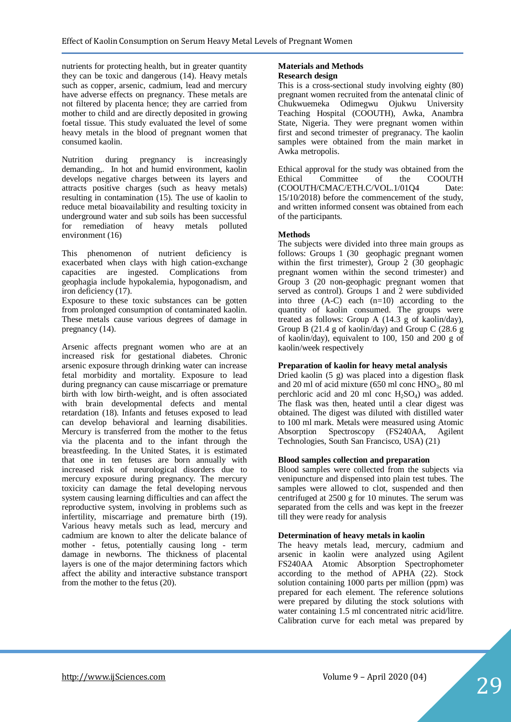nutrients for protecting health, but in greater quantity they can be toxic and dangerous (14). Heavy metals such as copper, arsenic, cadmium, lead and mercury have adverse effects on pregnancy. These metals are not filtered by placenta hence; they are carried from mother to child and are directly deposited in growing foetal tissue. This study evaluated the level of some heavy metals in the blood of pregnant women that consumed kaolin.

Nutrition during pregnancy is increasingly demanding,. In hot and humid environment, kaolin develops negative charges between its layers and attracts positive charges (such as heavy metals) resulting in contamination (15). The use of kaolin to reduce metal bioavailability and resulting toxicity in underground water and sub soils has been successful for remediation of heavy metals polluted environment (16)

This phenomenon of nutrient deficiency is exacerbated when clays with high cation-exchange capacities are ingested. Complications from geophagia include hypokalemia, hypogonadism, and iron deficiency (17).

Exposure to these toxic substances can be gotten from prolonged consumption of contaminated kaolin. These metals cause various degrees of damage in pregnancy (14).

Arsenic affects pregnant women who are at an increased risk for gestational diabetes. Chronic arsenic exposure through drinking water can increase fetal morbidity and mortality. Exposure to lead during pregnancy can cause miscarriage or premature birth with low birth-weight, and is often associated with brain developmental defects and mental retardation (18). Infants and fetuses exposed to lead can develop behavioral and learning disabilities. Mercury is transferred from the mother to the fetus via the placenta and to the infant through the breastfeeding. In the United States, it is estimated that one in ten fetuses are born annually with increased risk of neurological disorders due to mercury exposure during pregnancy. The mercury toxicity can damage the fetal developing nervous system causing learning difficulties and can affect the reproductive system, involving in problems such as infertility, miscarriage and premature birth (19). Various heavy metals such as lead, mercury and cadmium are known to alter the delicate balance of mother - fetus, potentially causing long - term damage in newborns. The thickness of placental layers is one of the major determining factors which affect the ability and interactive substance transport from the mother to the fetus (20).

#### **Materials and Methods Research design**

This is a cross-sectional study involving eighty (80) pregnant women recruited from the antenatal clinic of Chukwuemeka Odimegwu Ojukwu University Teaching Hospital (COOUTH), Awka, Anambra State, Nigeria. They were pregnant women within first and second trimester of pregranacy. The kaolin samples were obtained from the main market in Awka metropolis.

Ethical approval for the study was obtained from the Ethical Committee of the COOUTH (COOUTH/CMAC/ETH.C/VOL.1/01Q4 Date: 15/10/2018) before the commencement of the study, and written informed consent was obtained from each of the participants.

# **Methods**

The subjects were divided into three main groups as follows: Groups 1 (30 geophagic pregnant women within the first trimester), Group 2 (30 geophagic pregnant women within the second trimester) and Group 3 (20 non-geophagic pregnant women that served as control). Groups 1 and 2 were subdivided into three  $(A-C)$  each  $(n=10)$  according to the quantity of kaolin consumed. The groups were treated as follows: Group A (14.3 g of kaolin/day), Group B (21.4 g of kaolin/day) and Group C (28.6 g of kaolin/day), equivalent to 100, 150 and 200 g of kaolin/week respectively

### **Preparation of kaolin for heavy metal analysis**

Dried kaolin (5 g) was placed into a digestion flask and 20 ml of acid mixture  $(650 \text{ ml cone HNO}_3, 80 \text{ ml}$ perchloric acid and 20 ml conc  $H_2SO_4$ ) was added. The flask was then, heated until a clear digest was obtained. The digest was diluted with distilled water to 100 ml mark. Metals were measured using Atomic Absorption Spectroscopy (FS240AA, Agilent Technologies, South San Francisco, USA) (21)

#### **Blood samples collection and preparation**

Blood samples were collected from the subjects via venipuncture and dispensed into plain test tubes. The samples were allowed to clot, suspended and then centrifuged at 2500 g for 10 minutes. The serum was separated from the cells and was kept in the freezer till they were ready for analysis

#### **Determination of heavy metals in kaolin**

The heavy metals lead, mercury, cadmium and arsenic in kaolin were analyzed using Agilent FS240AA Atomic Absorption Spectrophometer according to the method of APHA (22). Stock solution containing 1000 parts per million (ppm) was prepared for each element. The reference solutions were prepared by diluting the stock solutions with water containing 1.5 ml concentrated nitric acid/litre. Calibration curve for each metal was prepared by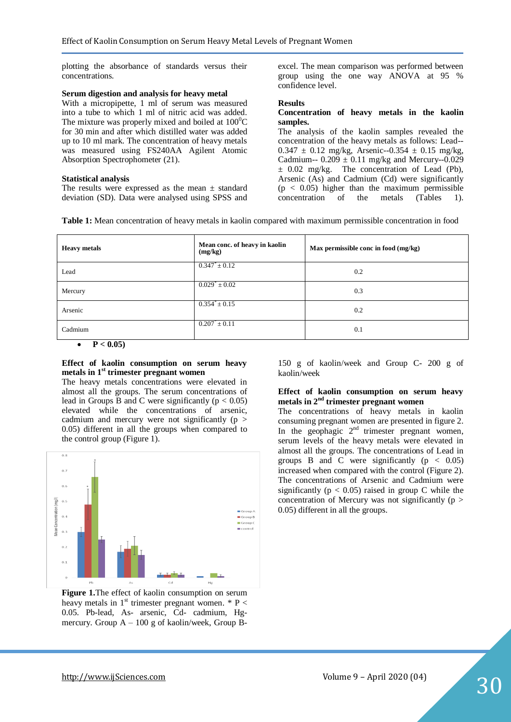plotting the absorbance of standards versus their concentrations.

#### **Serum digestion and analysis for heavy metal**

With a micropipette, 1 ml of serum was measured into a tube to which 1 ml of nitric acid was added. The mixture was properly mixed and boiled at  $100^{\circ}$ C for 30 min and after which distilled water was added up to 10 ml mark. The concentration of heavy metals was measured using FS240AA Agilent Atomic Absorption Spectrophometer (21).

#### **Statistical analysis**

The results were expressed as the mean  $\pm$  standard deviation (SD). Data were analysed using SPSS and excel. The mean comparison was performed between group using the one way ANOVA at 95 % confidence level.

#### **Results**

#### **Concentration of heavy metals in the kaolin samples.**

The analysis of the kaolin samples revealed the concentration of the heavy metals as follows: Lead--  $0.347 \pm 0.12$  mg/kg, Arsenic--0.354  $\pm$  0.15 mg/kg, Cadmium--  $0.209 \pm 0.11$  mg/kg and Mercury--0.029 ± 0.02 mg/kg. The concentration of Lead (Pb), Arsenic (As) and Cadmium (Cd) were significantly  $(p < 0.05)$  higher than the maximum permissible concentration of the metals (Tables 1).

| <b>Heavy metals</b>                    | Mean conc. of heavy in kaolin<br>(mg/kg) | Max permissible conc in food (mg/kg) |
|----------------------------------------|------------------------------------------|--------------------------------------|
| Lead                                   | $0.347^* \pm 0.12$                       | 0.2                                  |
| Mercury                                | $0.029^* \pm 0.02$                       | 0.3                                  |
| Arsenic                                | $0.354^{\degree} \pm 0.15$               | 0.2                                  |
| Cadmium<br>$\sim$ $\sim$ $\sim$ $\sim$ | $0.207^* \pm 0.11$                       | 0.1                                  |

 $P < 0.05$ 

#### **Effect of kaolin consumption on serum heavy metals in 1st trimester pregnant women**

The heavy metals concentrations were elevated in almost all the groups. The serum concentrations of lead in Groups B and C were significantly  $(p < 0.05)$ elevated while the concentrations of arsenic, cadmium and mercury were not significantly  $(p >$ 0.05) different in all the groups when compared to the control group (Figure 1).



**Figure 1.**The effect of kaolin consumption on serum heavy metals in  $1<sup>st</sup>$  trimester pregnant women. \* P < 0.05. Pb-lead, As- arsenic, Cd- cadmium, Hgmercury. Group  $A - 100$  g of kaolin/week, Group B-

150 g of kaolin/week and Group C- 200 g of kaolin/week

#### **Effect of kaolin consumption on serum heavy metals in 2nd trimester pregnant women**

The concentrations of heavy metals in kaolin consuming pregnant women are presented in figure 2. In the geophagic  $2<sup>nd</sup>$  trimester pregnant women, serum levels of the heavy metals were elevated in almost all the groups. The concentrations of Lead in groups B and C were significantly  $(p < 0.05)$ increased when compared with the control (Figure 2). The concentrations of Arsenic and Cadmium were significantly ( $p < 0.05$ ) raised in group C while the concentration of Mercury was not significantly ( $p$  > 0.05) different in all the groups.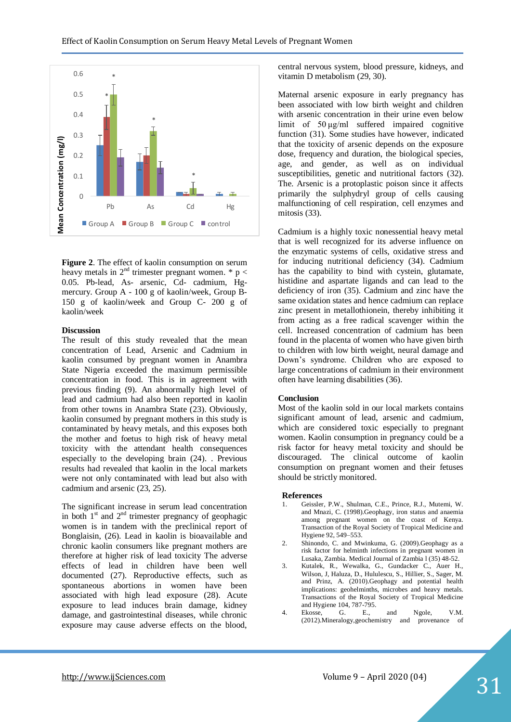

**Figure 2**. The effect of kaolin consumption on serum heavy metals in  $2<sup>nd</sup>$  trimester pregnant women. \* p < 0.05. Pb-lead, As- arsenic, Cd- cadmium, Hgmercury. Group A - 100 g of kaolin/week, Group B-150 g of kaolin/week and Group C- 200 g of kaolin/week

#### **Discussion**

The result of this study revealed that the mean concentration of Lead, Arsenic and Cadmium in kaolin consumed by pregnant women in Anambra State Nigeria exceeded the maximum permissible concentration in food. This is in agreement with previous finding (9). An abnormally high level of lead and cadmium had also been reported in kaolin from other towns in Anambra State (23). Obviously, kaolin consumed by pregnant mothers in this study is contaminated by heavy metals, and this exposes both the mother and foetus to high risk of heavy metal toxicity with the attendant health consequences especially to the developing brain (24). . Previous results had revealed that kaolin in the local markets were not only contaminated with lead but also with cadmium and arsenic (23, 25).

The significant increase in serum lead concentration in both  $1<sup>st</sup>$  and  $2<sup>nd</sup>$  trimester pregnancy of geophagic women is in tandem with the preclinical report of Bonglaisin, (26). Lead in kaolin is bioavailable and chronic kaolin consumers like pregnant mothers are therefore at higher risk of lead toxicity The adverse effects of lead in children have been well documented (27). Reproductive effects, such as spontaneous abortions in women have been associated with high lead exposure (28). Acute exposure to lead induces brain damage, kidney damage, and gastrointestinal diseases, while chronic exposure may cause adverse effects on the blood,

central nervous system, blood pressure, kidneys, and vitamin D metabolism (29, 30).

Maternal arsenic exposure in early pregnancy has been associated with low birth weight and children with arsenic concentration in their urine even below limit of 50 μg/ml suffered impaired cognitive function (31). Some studies have however, indicated that the toxicity of arsenic depends on the exposure dose, frequency and duration, the biological species, age, and gender, as well as on individual susceptibilities, genetic and nutritional factors (32). The. Arsenic is a protoplastic poison since it affects primarily the sulphydryl group of cells causing malfunctioning of cell respiration, cell enzymes and mitosis (33).

Cadmium is a highly toxic nonessential heavy metal that is well recognized for its adverse influence on the enzymatic systems of cells, oxidative stress and for inducing nutritional deficiency (34). Cadmium has the capability to bind with cystein, glutamate, histidine and aspartate ligands and can lead to the deficiency of iron (35). Cadmium and zinc have the same oxidation states and hence cadmium can replace zinc present in metallothionein, thereby inhibiting it from acting as a free radical scavenger within the cell. Increased concentration of cadmium has been found in the placenta of women who have given birth to children with low birth weight, neural damage and Down's syndrome. Children who are exposed to large concentrations of cadmium in their environment often have learning disabilities (36).

#### **Conclusion**

Most of the kaolin sold in our local markets contains significant amount of lead, arsenic and cadmium, which are considered toxic especially to pregnant women. Kaolin consumption in pregnancy could be a risk factor for heavy metal toxicity and should be discouraged. The clinical outcome of kaolin consumption on pregnant women and their fetuses should be strictly monitored.

#### **References**

- 1. Geissler, P.W., Shulman, C.E., Prince, R.J., Mutemi, W. and Mnazi, C. (1998).Geophagy, iron status and anaemia among pregnant women on the coast of Kenya. Transaction of the Royal Society of Tropical Medicine and Hygiene 92, 549–553.
- 2. Shinondo, C. and Mwinkuma, G. (2009).Geophagy as a risk factor for helminth infections in pregnant women in Lusaka, Zambia. Medical Journal of Zambia l (35) 48-52.
- 3. Kutalek, R., Wewalka, G., Gundacker C., Auer H., Wilson, J, Haluza, D., Hululescu, S., Hillier, S., Sager, M. and Prinz, A. (2010).Geophagy and potential health implications: geohelminths, microbes and heavy metals*.*  Transactions of the Royal Society of Tropical Medicine and Hygiene 104, 787-795.
- 4. Ekosse, G. E., and Ngole, V.M. (2012).Mineralogy,geochemistry and provenance of